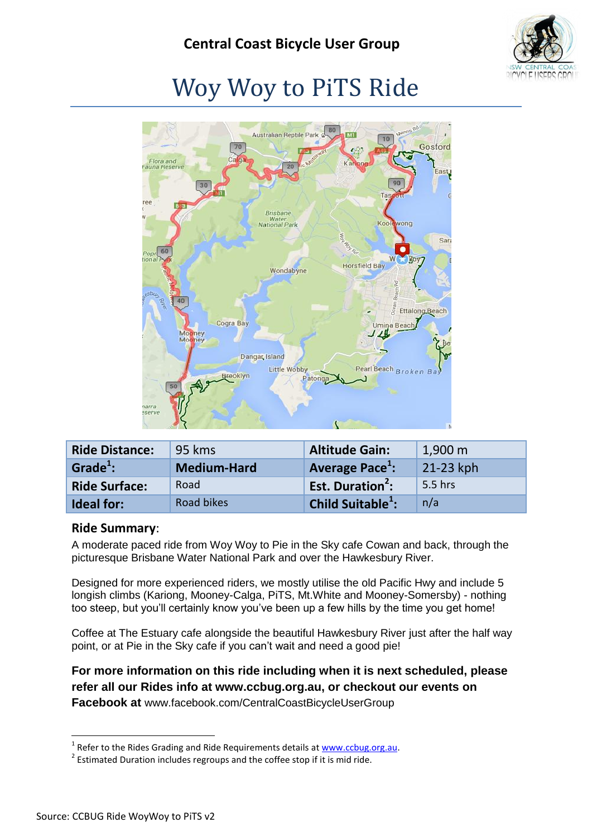

# Woy Woy to PiTS Ride



<span id="page-0-0"></span>

| <b>Ride Distance:</b> | 95 kms             | <b>Altitude Gain:</b>         | $1,900 \; \mathrm{m}$ |
|-----------------------|--------------------|-------------------------------|-----------------------|
| Grade $^1$ :          | <b>Medium-Hard</b> | Average Pace <sup>1</sup> :   | 21-23 kph             |
| <b>Ride Surface:</b>  | Road               | Est. Duration <sup>2</sup> :  | 5.5 hrs               |
| <b>Ideal for:</b>     | Road bikes         | Child Suitable <sup>1</sup> : | n/a                   |

#### **Ride Summary**:

A moderate paced ride from Woy Woy to Pie in the Sky cafe Cowan and back, through the picturesque Brisbane Water National Park and over the Hawkesbury River.

Designed for more experienced riders, we mostly utilise the old Pacific Hwy and include 5 longish climbs (Kariong, Mooney-Calga, PiTS, Mt.White and Mooney-Somersby) - nothing too steep, but you'll certainly know you've been up a few hills by the time you get home!

Coffee at The Estuary cafe alongside the beautiful Hawkesbury River just after the half way point, or at Pie in the Sky cafe if you can't wait and need a good pie!

**For more information on this ride including when it is next scheduled, please refer all our Rides info at www.ccbug.org.au, or checkout our events on Facebook at** [www.facebook.com/CentralCoastBicycleUserGroup](http://www.facebook.com/CentralCoastBicycleUserGroup)

1

<sup>&</sup>lt;sup>1</sup> Refer to the Rides Grading and Ride Requirements details a[t www.ccbug.org.au.](http://www.ccbug.org.au/)

 $2$  Estimated Duration includes regroups and the coffee stop if it is mid ride.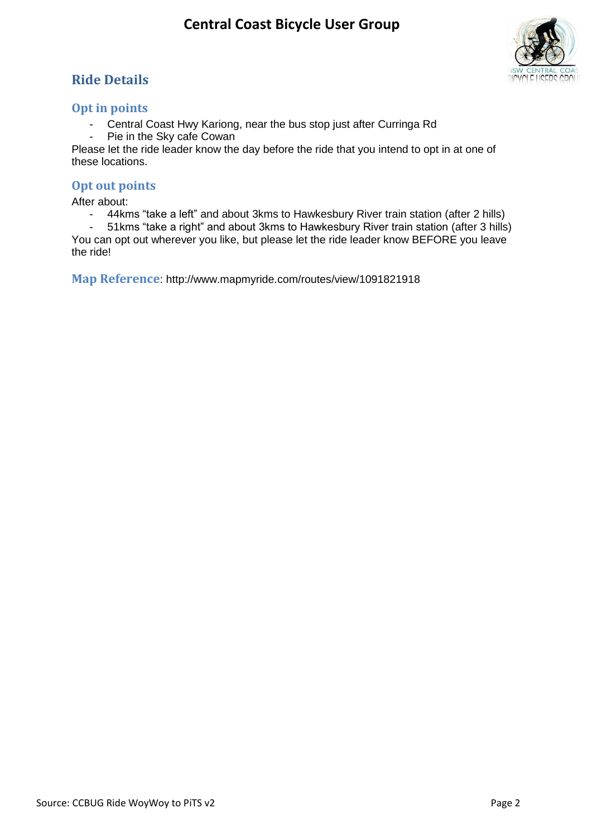### **Ride Details**



#### **Opt in points**

- Central Coast Hwy Kariong, near the bus stop just after Curringa Rd<br>- Pie in the Sky cafe Cowan
- Pie in the Sky cafe Cowan

Please let the ride leader know the day before the ride that you intend to opt in at one of these locations.

#### **Opt out points**

After about:

- 44kms "take a left" and about 3kms to Hawkesbury River train station (after 2 hills)

- 51kms "take a right" and about 3kms to Hawkesbury River train station (after 3 hills) You can opt out wherever you like, but please let the ride leader know BEFORE you leave the ride!

**Map Reference**: http://www.mapmyride.com/routes/view/1091821918